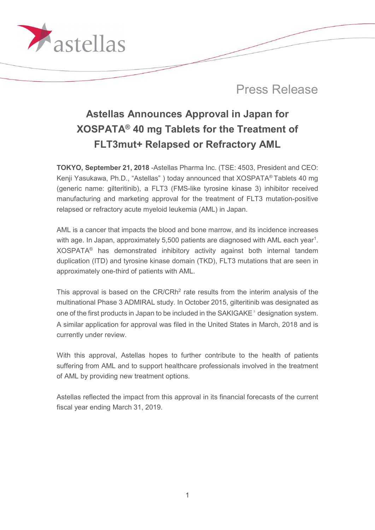

# Astellas Announces Approval in Japan for XOSPATA® 40 mg Tablets for the Treatment of FLT3mut+ Relapsed or Refractory AML

TOKYO, September 21, 2018 -Astellas Pharma Inc. (TSE: 4503, President and CEO: Kenji Yasukawa, Ph.D., "Astellas" ) today announced that XOSPATA® Tablets 40 mg (generic name: gilteritinib), a FLT3 (FMS-like tyrosine kinase 3) inhibitor received manufacturing and marketing approval for the treatment of FLT3 mutation-positive relapsed or refractory acute myeloid leukemia (AML) in Japan.

AML is a cancer that impacts the blood and bone marrow, and its incidence increases with age. In Japan, approximately 5,500 patients are diagnosed with AML each year<sup>1</sup>. XOSPATA® has demonstrated inhibitory activity against both internal tandem duplication (ITD) and tyrosine kinase domain (TKD), FLT3 mutations that are seen in approximately one-third of patients with AML.

This approval is based on the  $CR/CRh<sup>2</sup>$  rate results from the interim analysis of the multinational Phase 3 ADMIRAL study. In October 2015, gilteritinib was designated as one of the first products in Japan to be included in the SAKIGAKE<sup>3</sup> designation system. A similar application for approval was filed in the United States in March, 2018 and is currently under review.

With this approval, Astellas hopes to further contribute to the health of patients suffering from AML and to support healthcare professionals involved in the treatment of AML by providing new treatment options.

Astellas reflected the impact from this approval in its financial forecasts of the current fiscal year ending March 31, 2019.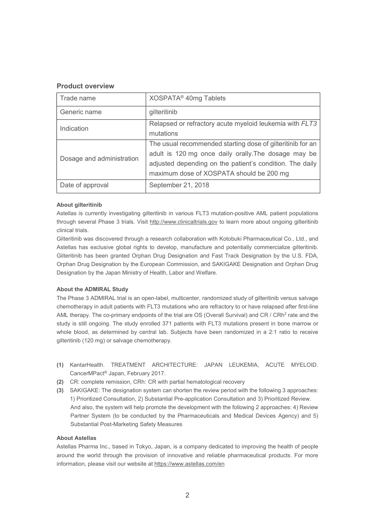## Product overview

| Trade name                | XOSPATA <sup>®</sup> 40mg Tablets                                                                                                                                                                                          |
|---------------------------|----------------------------------------------------------------------------------------------------------------------------------------------------------------------------------------------------------------------------|
| Generic name              | gilteritinib                                                                                                                                                                                                               |
| Indication                | Relapsed or refractory acute myeloid leukemia with FLT3<br>mutations                                                                                                                                                       |
| Dosage and administration | The usual recommended starting dose of gilteritinib for an<br>adult is 120 mg once daily orally. The dosage may be<br>adjusted depending on the patient's condition. The daily<br>maximum dose of XOSPATA should be 200 mg |
| Date of approval          | September 21, 2018                                                                                                                                                                                                         |

#### About gilteritinib

Astellas is currently investigating gilteritinib in various FLT3 mutation-positive AML patient populations through several Phase 3 trials. Visit http://www.clinicaltrials.gov to learn more about ongoing gilteritinib clinical trials.

Gilteritinib was discovered through a research collaboration with Kotobuki Pharmaceutical Co., Ltd., and Astellas has exclusive global rights to develop, manufacture and potentially commercialize gilteritinib. Gilteritinib has been granted Orphan Drug Designation and Fast Track Designation by the U.S. FDA, Orphan Drug Designation by the European Commission, and SAKIGAKE Designation and Orphan Drug Designation by the Japan Ministry of Health, Labor and Welfare.

#### About the ADMIRAL Study

The Phase 3 ADMIRAL trial is an open-label, multicenter, randomized study of gilteritinib versus salvage chemotherapy in adult patients with FLT3 mutations who are refractory to or have relapsed after first-line AML therapy. The co-primary endpoints of the trial are OS (Overall Survival) and CR / CRh<sup>2</sup> rate and the study is still ongoing. The study enrolled 371 patients with FLT3 mutations present in bone marrow or whole blood, as determined by central lab. Subjects have been randomized in a 2:1 ratio to receive gilteritinib (120 mg) or salvage chemotherapy.

- (1) KantarHealth. TREATMENT ARCHITECTURE: JAPAN LEUKEMIA, ACUTE MYELOID. CancerMPact® Japan, February 2017.
- (2) CR: complete remission, CRh: CR with partial hematological recovery
- (3) SAKIGAKE: The designation system can shorten the review period with the following 3 approaches: 1) Prioritized Consultation, 2) Substantial Pre-application Consultation and 3) Prioritized Review. And also, the system will help promote the development with the following 2 approaches: 4) Review Partner System (to be conducted by the Pharmaceuticals and Medical Devices Agency) and 5) Substantial Post-Marketing Safety Measures

### About Astellas

Astellas Pharma Inc., based in Tokyo, Japan, is a company dedicated to improving the health of people around the world through the provision of innovative and reliable pharmaceutical products. For more information, please visit our website at https://www.astellas.com/en